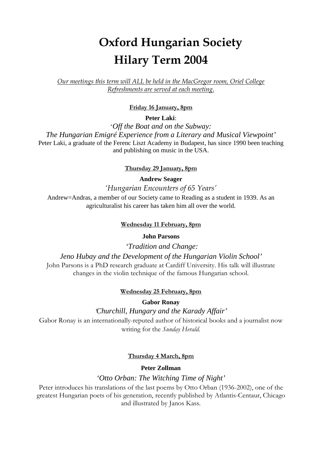# **Oxford Hungarian Society Hilary Term 2004**

*Our meetings this term will ALL be held in the MacGregor room, Oriel College Refreshments are served at each meeting.*

# **Friday 16 January, 8pm**

**Peter Laki**:

'*Off the Boat and on the Subway: The Hungarian Emigré Experience from a Literary and Musical Viewpoint'* Peter Laki, a graduate of the Ferenc Liszt Academy in Budapest, has since 1990 been teaching and publishing on music in the USA.

### **Thursday 29 January, 8pm**

**Andrew Seager**

*'Hungarian Encounters of 65 Years'*

Andrew=Andras, a member of our Society came to Reading as a student in 1939. As an agriculturalist his career has taken him all over the world.

#### **Wednesday 11 February, 8pm**

#### **John Parsons**

*'Tradition and Change:*

*Jeno Hubay and the Development of the Hungarian Violin School'* John Parsons is a PhD research graduate at Cardiff University. His talk will illustrate

changes in the violin technique of the famous Hungarian school.

#### **Wednesday 25 February, 8pm**

**Gabor Ronay**

*'Churchill, Hungary and the Karady Affair'*

Gabor Ronay is an internationally-reputed author of historical books and a journalist now writing for the *Sunday Herald.*

#### **Thursday 4 March, 8pm**

## **Peter Zollman**

#### *'Otto Orban: The Witching Time of Night'*

Peter introduces his translations of the last poems by Otto Orban (1936-2002), one of the greatest Hungarian poets of his generation, recently published by Atlantis-Centaur, Chicago and illustrated by Janos Kass.